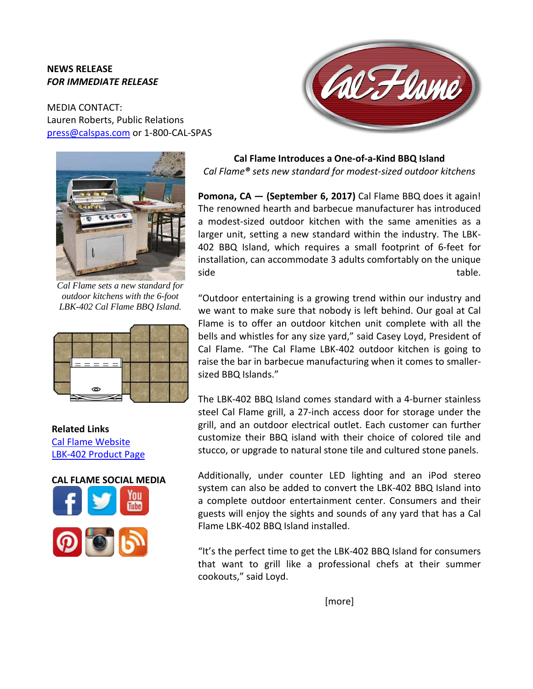## **NEWS RELEASE** *FOR IMMEDIATE RELEASE*

MEDIA CONTACT: Lauren Roberts, Public Relations [press@calspas.com](mailto:press@calspas.com) or 1-800-CAL-SPAS



*Cal Flame sets a new standard for outdoor kitchens with the 6-foot [LBK-402 Cal Flame BBQ Island.](http://calflamebbq.com/bbq-islands/lbk-islands/lbk-402.php)*



**Related Links** [Cal Flame](http://www.calflamebbq.com/) Website [LBK-402 Product Page](http://calflamebbq.com/bbq-islands/lbk-islands/lbk-402.php)





**Cal Flame Introduces a One-of-a-Kind BBQ Island**  *Cal Flame® sets new standard for modest-sized outdoor kitchens*

**Pomona, CA — (September 6, 2017)** Cal Flame BBQ does it again! The renowned hearth and barbecue manufacturer has introduced a modest-sized outdoor kitchen with the same amenities as a larger unit, setting a new standard within the industry. The LBK-402 BBQ Island, which requires a small footprint of 6-feet for installation, can accommodate 3 adults comfortably on the unique side table.

"Outdoor entertaining is a growing trend within our industry and we want to make sure that nobody is left behind. Our goal at Cal Flame is to offer an outdoor kitchen unit complete with all the bells and whistles for any size yard," said Casey Loyd, President of Cal Flame. "The Cal Flame LBK-402 outdoor kitchen is going to raise the bar in barbecue manufacturing when it comes to smallersized BBQ Islands."

The LBK-402 BBQ Island comes standard with a 4-burner stainless steel Cal Flame grill, a 27-inch access door for storage under the grill, and an outdoor electrical outlet. Each customer can further customize their BBQ island with their choice of colored tile and stucco, or upgrade to natural stone tile and cultured stone panels.

Additionally, under counter LED lighting and an iPod stereo system can also be added to convert the LBK-402 BBQ Island into a complete outdoor entertainment center. Consumers and their guests will enjoy the sights and sounds of any yard that has a Cal Flame LBK-402 BBQ Island installed.

"It's the perfect time to get the LBK-402 BBQ Island for consumers that want to grill like a professional chefs at their summer cookouts," said Loyd.

[more]